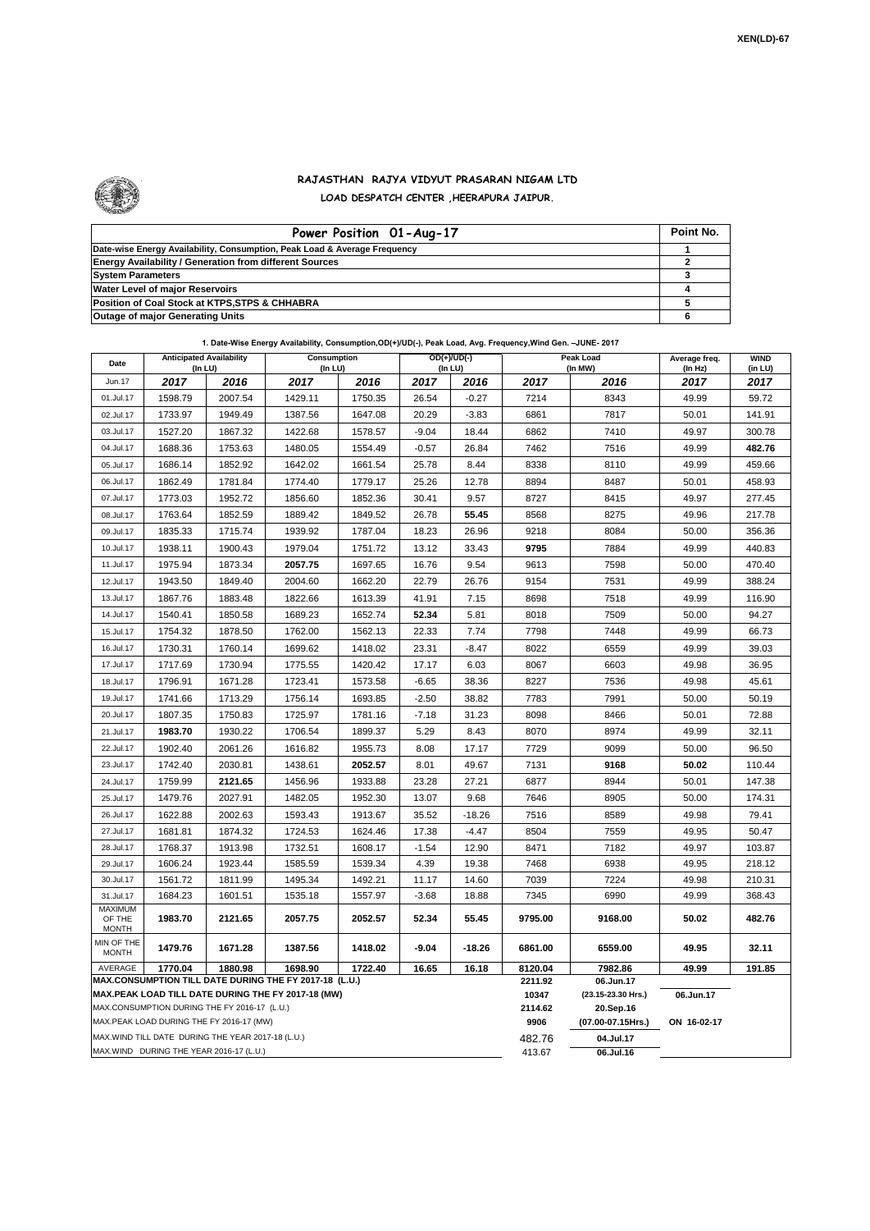

## **RAJASTHAN RAJYA VIDYUT PRASARAN NIGAM LTD LOAD DESPATCH CENTER ,HEERAPURA JAIPUR.**

| Power Position 01-Aug-17                                                  | Point No. |
|---------------------------------------------------------------------------|-----------|
| Date-wise Energy Availability, Consumption, Peak Load & Average Frequency |           |
| <b>Energy Availability / Generation from different Sources</b>            |           |
| <b>System Parameters</b>                                                  |           |
| <b>Water Level of major Reservoirs</b>                                    |           |
| Position of Coal Stock at KTPS, STPS & CHHABRA                            |           |
| <b>Outage of major Generating Units</b>                                   |           |

| 1. Date-Wise Energy Availability, Consumption,OD(+)/UD(-), Peak Load, Avg. Frequency,Wind Gen. -JUNE- 2017 |
|------------------------------------------------------------------------------------------------------------|
|------------------------------------------------------------------------------------------------------------|

| Date                                                                                               | <b>Anticipated Availability</b><br>(In LU) |         | Consumption<br>(In LU) |         | $OD(+)/UD(-)$<br>(In LU) |                  |                                 | Peak Load<br>(In MW) | Average freq.<br>(In Hz) | <b>WIND</b><br>(in LU) |
|----------------------------------------------------------------------------------------------------|--------------------------------------------|---------|------------------------|---------|--------------------------|------------------|---------------------------------|----------------------|--------------------------|------------------------|
| Jun.17                                                                                             | 2017                                       | 2016    | 2017                   | 2016    | 2017                     | 2016             | 2017                            | 2016                 | 2017                     | 2017                   |
| 01.Jul.17                                                                                          | 1598.79                                    | 2007.54 | 1429.11                | 1750.35 | 26.54                    | $-0.27$          | 7214                            | 8343                 | 49.99                    | 59.72                  |
| 02.Jul.17                                                                                          | 1733.97                                    | 1949.49 | 1387.56                | 1647.08 | 20.29                    | $-3.83$          | 6861                            | 7817                 | 50.01                    | 141.91                 |
| 03.Jul.17                                                                                          | 1527.20                                    | 1867.32 | 1422.68                | 1578.57 | $-9.04$                  | 18.44            | 6862                            | 7410                 | 49.97                    | 300.78                 |
| 04.Jul.17                                                                                          | 1688.36                                    | 1753.63 | 1480.05                | 1554.49 | $-0.57$                  | 26.84            | 7462                            | 7516                 | 49.99                    | 482.76                 |
| 05.Jul.17                                                                                          | 1686.14                                    | 1852.92 | 1642.02                | 1661.54 | 25.78                    | 8.44             | 8338                            | 8110                 | 49.99                    | 459.66                 |
| 06.Jul.17                                                                                          | 1862.49                                    | 1781.84 | 1774.40                | 1779.17 | 25.26                    | 12.78            | 8894                            | 8487                 | 50.01                    | 458.93                 |
| 07.Jul.17                                                                                          | 1773.03                                    | 1952.72 | 1856.60                | 1852.36 | 30.41                    | 9.57             | 8727                            | 8415                 | 49.97                    | 277.45                 |
| 08.Jul.17                                                                                          | 1763.64                                    | 1852.59 | 1889.42                | 1849.52 | 26.78                    | 55.45            | 8568                            | 8275                 | 49.96                    | 217.78                 |
| 09.Jul.17                                                                                          | 1835.33                                    | 1715.74 | 1939.92                | 1787.04 | 18.23                    | 26.96            | 9218                            | 8084                 | 50.00                    | 356.36                 |
| 10.Jul.17                                                                                          | 1938.11                                    | 1900.43 | 1979.04                | 1751.72 | 13.12                    | 33.43            | 9795                            | 7884                 | 49.99                    | 440.83                 |
| 11.Jul.17                                                                                          | 1975.94                                    | 1873.34 | 2057.75                | 1697.65 | 16.76                    | 9.54             | 9613                            | 7598                 | 50.00                    | 470.40                 |
| 12.Jul.17                                                                                          | 1943.50                                    | 1849.40 | 2004.60                | 1662.20 | 22.79                    | 26.76            | 9154                            | 7531                 | 49.99                    | 388.24                 |
| 13.Jul.17                                                                                          | 1867.76                                    | 1883.48 | 1822.66                | 1613.39 | 41.91                    | 7.15             | 8698                            | 7518                 | 49.99                    | 116.90                 |
| 14.Jul.17                                                                                          | 1540.41                                    | 1850.58 | 1689.23                | 1652.74 | 52.34                    | 5.81             | 8018                            | 7509                 | 50.00                    | 94.27                  |
| 15.Jul.17                                                                                          | 1754.32                                    | 1878.50 | 1762.00                | 1562.13 | 22.33                    | 7.74             | 7798                            | 7448                 | 49.99                    | 66.73                  |
| 16.Jul.17                                                                                          | 1730.31                                    | 1760.14 | 1699.62                | 1418.02 | 23.31                    | $-8.47$          | 8022                            | 6559                 | 49.99                    | 39.03                  |
| 17.Jul.17                                                                                          | 1717.69                                    | 1730.94 | 1775.55                | 1420.42 | 17.17                    | 6.03             | 8067                            | 6603                 | 49.98                    | 36.95                  |
| 18.Jul.17                                                                                          | 1796.91                                    | 1671.28 | 1723.41                | 1573.58 | $-6.65$                  | 38.36            | 8227                            | 7536                 | 49.98                    | 45.61                  |
| 19.Jul.17                                                                                          | 1741.66                                    | 1713.29 | 1756.14                | 1693.85 | $-2.50$                  | 38.82            | 7783                            | 7991                 | 50.00                    | 50.19                  |
| 20.Jul.17                                                                                          | 1807.35                                    | 1750.83 | 1725.97                | 1781.16 | $-7.18$                  | 31.23            | 8098                            | 8466                 | 50.01                    | 72.88                  |
| 21.Jul.17                                                                                          | 1983.70                                    | 1930.22 | 1706.54                | 1899.37 | 5.29                     | 8.43             | 8070                            | 8974                 | 49.99                    | 32.11                  |
| 22.Jul.17                                                                                          | 1902.40                                    | 2061.26 | 1616.82                | 1955.73 | 8.08                     | 17.17            | 7729                            | 9099                 | 50.00                    | 96.50                  |
| 23.Jul.17                                                                                          | 1742.40                                    | 2030.81 | 1438.61                | 2052.57 | 8.01                     | 49.67            | 7131                            | 9168                 | 50.02                    | 110.44                 |
| 24.Jul.17                                                                                          | 1759.99                                    | 2121.65 | 1456.96                | 1933.88 | 23.28                    | 27.21            | 6877                            | 8944                 | 50.01                    | 147.38                 |
| 25.Jul.17                                                                                          | 1479.76                                    | 2027.91 | 1482.05                | 1952.30 | 13.07                    | 9.68             | 7646                            | 8905                 | 50.00                    | 174.31                 |
| 26.Jul.17                                                                                          | 1622.88                                    | 2002.63 | 1593.43                | 1913.67 | 35.52                    | $-18.26$         | 7516                            | 8589                 | 49.98                    | 79.41                  |
| 27.Jul.17                                                                                          | 1681.81                                    | 1874.32 | 1724.53                | 1624.46 | 17.38                    | $-4.47$          | 8504                            | 7559                 | 49.95                    | 50.47                  |
| 28.Jul.17                                                                                          | 1768.37                                    | 1913.98 | 1732.51                | 1608.17 | $-1.54$                  | 12.90            | 8471                            | 7182                 | 49.97                    | 103.87                 |
| 29.Jul.17                                                                                          | 1606.24                                    | 1923.44 | 1585.59                | 1539.34 | 4.39                     | 19.38            | 7468                            | 6938                 | 49.95                    | 218.12                 |
| 30.Jul.17                                                                                          | 1561.72                                    | 1811.99 | 1495.34                | 1492.21 | 11.17                    | 14.60            | 7039                            | 7224                 | 49.98                    | 210.31                 |
| 31.Jul.17                                                                                          | 1684.23                                    | 1601.51 | 1535.18                | 1557.97 | $-3.68$                  | 18.88            | 7345                            | 6990                 | 49.99                    | 368.43                 |
| <b>MAXIMUM</b><br>OF THE<br><b>MONTH</b>                                                           | 1983.70                                    | 2121.65 | 2057.75                | 2052.57 | 52.34                    | 55.45            | 9795.00                         | 9168.00              | 50.02                    | 482.76                 |
| MIN OF THE<br><b>MONTH</b>                                                                         | 1479.76                                    | 1671.28 | 1387.56                | 1418.02 | -9.04                    | $-18.26$         | 6861.00                         | 6559.00              | 49.95                    | 32.11                  |
| AVERAGE                                                                                            | 1770.04                                    | 1880.98 | 1698.90                | 1722.40 | 16.65                    | 16.18            | 8120.04                         | 7982.86              | 49.99                    | 191.85                 |
| MAX.CONSUMPTION TILL DATE DURING THE FY 2017-18 (L.U.)                                             |                                            |         |                        |         |                          | 2211.92          | 06.Jun.17                       |                      |                          |                        |
| MAX.PEAK LOAD TILL DATE DURING THE FY 2017-18 (MW)<br>MAX.CONSUMPTION DURING THE FY 2016-17 (L.U.) |                                            |         |                        |         |                          | 10347<br>2114.62 | (23.15-23.30 Hrs.)<br>20.Sep.16 | 06.Jun.17            |                          |                        |
| MAX.PEAK LOAD DURING THE FY 2016-17 (MW)                                                           |                                            |         |                        |         |                          | 9906             | (07.00-07.15Hrs.)               | ON 16-02-17          |                          |                        |
| MAX. WIND TILL DATE DURING THE YEAR 2017-18 (L.U.)                                                 |                                            |         |                        |         |                          |                  | 482.76                          | 04.Jul.17            |                          |                        |
| MAX.WIND DURING THE YEAR 2016-17 (L.U.)                                                            |                                            |         |                        |         |                          |                  | 413.67                          | 06.Jul.16            |                          |                        |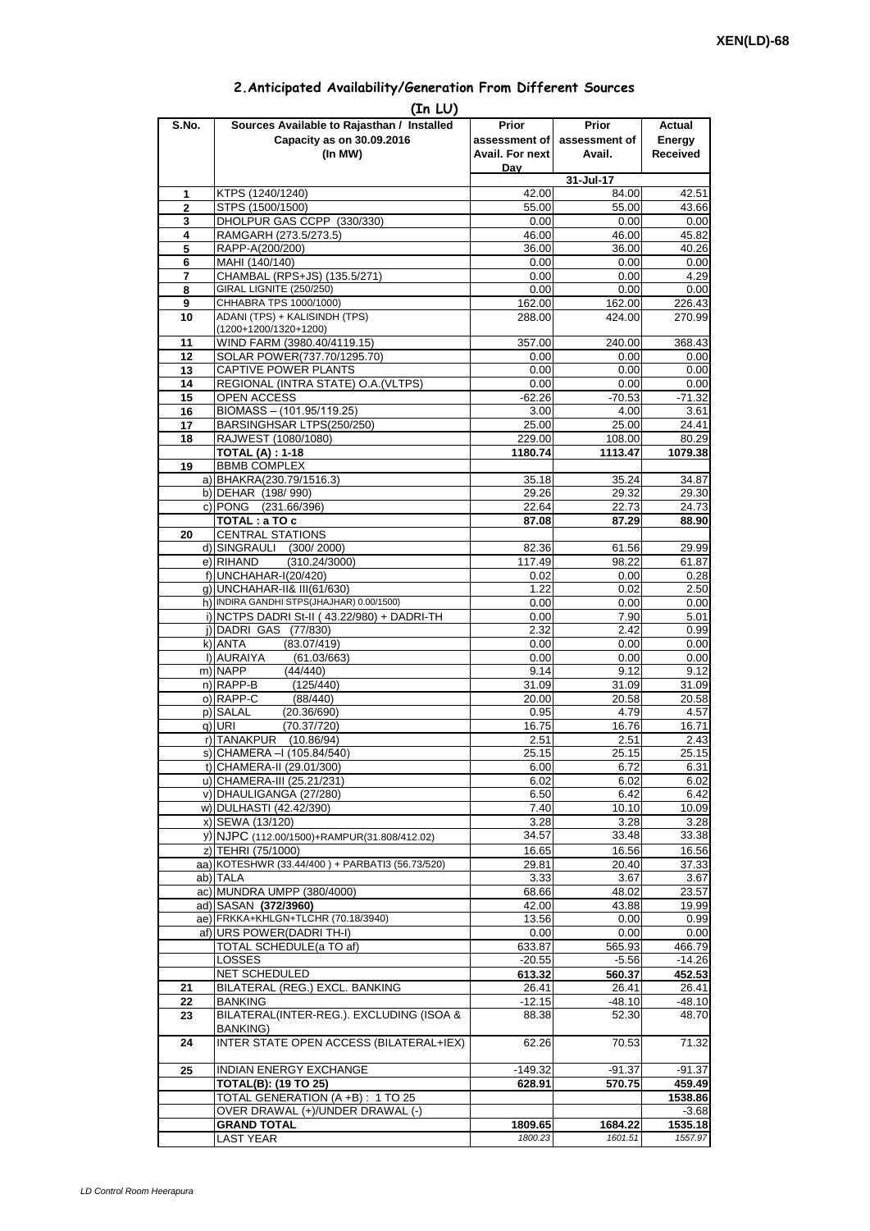| 2. Anticipated Availability/Generation From Different Sources |  |  |  |
|---------------------------------------------------------------|--|--|--|
|                                                               |  |  |  |

| S.No.               | (In LU)<br>Sources Available to Rajasthan / Installed        | Prior             | <b>Prior</b>       | Actual             |
|---------------------|--------------------------------------------------------------|-------------------|--------------------|--------------------|
|                     | Capacity as on 30.09.2016                                    | assessment of     | assessment of      | Energy             |
|                     | (In MW)                                                      | Avail. For next   | Avail.             | Received           |
|                     |                                                              | Dav               |                    |                    |
|                     |                                                              | 42.00             | 31-Jul-17          |                    |
| 1<br>$\overline{2}$ | KTPS (1240/1240)<br>STPS (1500/1500)                         | 55.00             | 84.00<br>55.00     | 42.51<br>43.66     |
| 3                   | DHOLPUR GAS CCPP (330/330)                                   | 0.00              | 0.00               | 0.00               |
| 4                   | RAMGARH (273.5/273.5)                                        | 46.00             | 46.00              | 45.82              |
| 5                   | RAPP-A(200/200)                                              | 36.00             | 36.00              | 40.26              |
| 6                   | MAHI (140/140)                                               | 0.00              | 0.00               | 0.00               |
| $\overline{7}$      | CHAMBAL (RPS+JS) (135.5/271)                                 | 0.00              | 0.00               | 4.29               |
| 8<br>9              | GIRAL LIGNITE (250/250)<br>CHHABRA TPS 1000/1000)            | 0.00              | 0.00               | 0.00<br>226.43     |
| 10                  | ADANI (TPS) + KALISINDH (TPS)                                | 162.00<br>288.00  | 162.00<br>424.00   | 270.99             |
|                     | (1200+1200/1320+1200)                                        |                   |                    |                    |
| 11                  | WIND FARM (3980.40/4119.15)                                  | 357.00            | 240.00             | 368.43             |
| 12                  | SOLAR POWER(737.70/1295.70)                                  | 0.00              | 0.00               | 0.00               |
| 13                  | CAPTIVE POWER PLANTS                                         | 0.00              | 0.00               | 0.00               |
| 14                  | REGIONAL (INTRA STATE) O.A. (VLTPS)                          | 0.00              | 0.00               | 0.00               |
| 15<br>16            | OPEN ACCESS<br>BIOMASS - (101.95/119.25)                     | $-62.26$          | $-70.53$           | $-71.32$           |
| 17                  | BARSINGHSAR LTPS(250/250)                                    | 3.00<br>25.00     | 4.00<br>25.00      | 3.61<br>24.41      |
| 18                  | RAJWEST (1080/1080)                                          | 229.00            | 108.00             | 80.29              |
|                     | <b>TOTAL (A): 1-18</b>                                       | 1180.74           | 1113.47            | 1079.38            |
| 19                  | <b>BBMB COMPLEX</b>                                          |                   |                    |                    |
|                     | a) BHAKRA(230.79/1516.3)                                     | 35.18             | 35.24              | 34.87              |
|                     | b) DEHAR (198/990)                                           | 29.26             | 29.32              | 29.30              |
|                     | c) PONG (231.66/396)                                         | 22.64             | 22.73              | 24.73              |
| 20                  | TOTAL : a TO c<br><b>CENTRAL STATIONS</b>                    | 87.08             | 87.29              | 88.90              |
|                     | d) SINGRAULI (300/2000)                                      | 82.36             | 61.56              | 29.99              |
|                     | e) RIHAND<br>(310.24/3000)                                   | 117.49            | 98.22              | 61.87              |
|                     | f) UNCHAHAR-I(20/420)                                        | 0.02              | 0.00               | 0.28               |
|                     | q) UNCHAHAR-II& III(61/630)                                  | 1.22              | 0.02               | 2.50               |
|                     | h) INDIRA GANDHI STPS(JHAJHAR) 0.00/1500)                    | 0.00              | 0.00               | 0.00               |
|                     | i) NCTPS DADRI St-II (43.22/980) + DADRI-TH                  | 0.00              | 7.90               | 5.01               |
|                     | j) DADRI GAS (77/830)                                        | 2.32              | 2.42               | 0.99               |
|                     | k) ANTA<br>(83.07/419)<br>I) AURAIYA<br>(61.03/663)          | 0.00<br>0.00      | 0.00<br>0.00       | 0.00<br>0.00       |
|                     | m) NAPP<br>(44/440)                                          | 9.14              | 9.12               | 9.12               |
|                     | n) RAPP-B<br>(125/440)                                       | 31.09             | 31.09              | 31.09              |
|                     | o) RAPP-C<br>(88/440)                                        | 20.00             | 20.58              | 20.58              |
|                     | p) SALAL<br>(20.36/690)                                      | 0.95              | 4.79               | 4.57               |
|                     | (70.37/720)<br>q) URI                                        | 16.75             | 16.76              | 16.71              |
|                     | r) TANAKPUR<br>(10.86/94)                                    | 2.51              | 2.51               | 2.43               |
|                     | S) [CHAMERA –I (105.84/540)                                  | 25.15             | 25.15              | 25.15              |
|                     | t) CHAMERA-II (29.01/300)<br>u) CHAMERA-III (25.21/231)      | 6.00<br>6.02      | 6.72               | 6.31               |
|                     | v) DHAULIGANGA (27/280)                                      | 6.50              | 6.02<br>6.42       | 6.02<br>6.42       |
|                     | w) DULHASTI (42.42/390)                                      | 7.40              | 10.10              | 10.09              |
|                     | x) SEWA (13/120)                                             | 3.28              | 3.28               | 3.28               |
|                     | y) NJPC (112.00/1500)+RAMPUR(31.808/412.02)                  | 34.57             | 33.48              | 33.38              |
|                     | z) TEHRI (75/1000)                                           | 16.65             | 16.56              | 16.56              |
|                     | aa) KOTESHWR (33.44/400) + PARBATI3 (56.73/520)              | 29.81             | 20.40              | 37.33              |
|                     | ab) TALA                                                     | 3.33              | 3.67               | 3.67               |
|                     | ac) MUNDRA UMPP (380/4000)<br>ad) SASAN (372/3960)           | 68.66             | 48.02              | 23.57              |
|                     | ae) FRKKA+KHLGN+TLCHR (70.18/3940)                           | 42.00<br>13.56    | 43.88<br>0.00      | 19.99<br>0.99      |
|                     | af) URS POWER(DADRI TH-I)                                    | 0.00              | 0.00               | 0.00               |
|                     | TOTAL SCHEDULE(a TO af)                                      | 633.87            | 565.93             | 466.79             |
|                     | <b>LOSSES</b>                                                | $-20.55$          | $-5.56$            | $-14.26$           |
|                     | NET SCHEDULED                                                | 613.32            | 560.37             | 452.53             |
| 21                  | BILATERAL (REG.) EXCL. BANKING                               | 26.41             | 26.41              | 26.41              |
| 22                  | <b>BANKING</b>                                               | $-12.15$          | $-48.10$           | $-48.10$           |
| 23                  | BILATERAL(INTER-REG.). EXCLUDING (ISOA &<br><b>BANKING)</b>  | 88.38             | 52.30              | 48.70              |
| 24                  | INTER STATE OPEN ACCESS (BILATERAL+IEX)                      | 62.26             | 70.53              | 71.32              |
| 25                  |                                                              |                   |                    |                    |
|                     | <b>INDIAN ENERGY EXCHANGE</b><br><b>TOTAL(B): (19 TO 25)</b> | -149.32<br>628.91 | $-91.37$<br>570.75 | $-91.37$<br>459.49 |
|                     | TOTAL GENERATION (A +B) : 1 TO 25                            |                   |                    | 1538.86            |
|                     | OVER DRAWAL (+)/UNDER DRAWAL (-)                             |                   |                    | $-3.68$            |
|                     | <b>GRAND TOTAL</b>                                           | 1809.65           | 1684.22            | 1535.18            |
|                     | <b>LAST YEAR</b>                                             | 1800.23           | 1601.51            | 1557.97            |